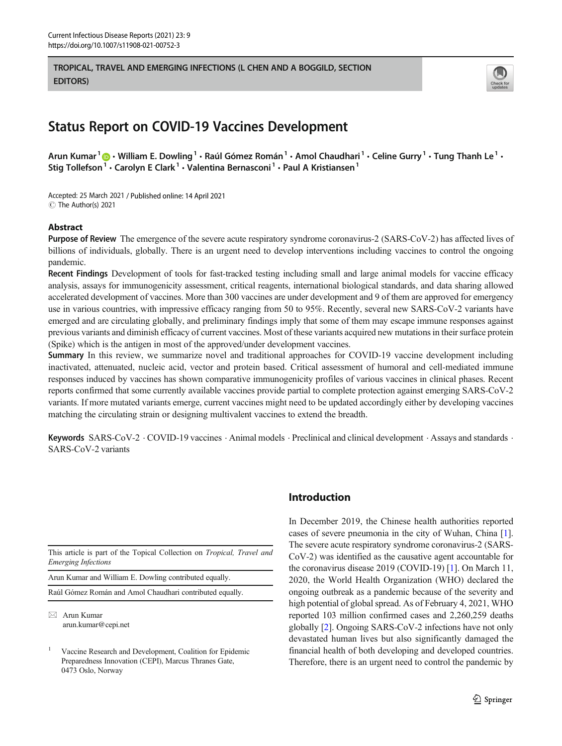# TROPICAL, TRAVEL AND EMERGING INFECTIONS (L CHEN AND A BOGGILD, SECTION EDITORS)



# Status Report on COVID-19 Vaccines Development

Arun Kumar<sup>1</sup>  $\bigcirc$  • William E. Dowling<sup>1</sup> • Raúl Gómez Román<sup>1</sup> • Amol Chaudhari<sup>1</sup> • Celine Gurry<sup>1</sup> • Tung Thanh Le<sup>1</sup> • Stig Tollefson<sup>1</sup> • Carolyn E Clark<sup>1</sup> • Valentina Bernasconi<sup>1</sup> • Paul A Kristiansen<sup>1</sup>

Accepted: 25 March 2021 / Published online: 14 April 2021 © The Author(s) 2021

## Abstract

Purpose of Review The emergence of the severe acute respiratory syndrome coronavirus-2 (SARS-CoV-2) has affected lives of billions of individuals, globally. There is an urgent need to develop interventions including vaccines to control the ongoing pandemic.

Recent Findings Development of tools for fast-tracked testing including small and large animal models for vaccine efficacy analysis, assays for immunogenicity assessment, critical reagents, international biological standards, and data sharing allowed accelerated development of vaccines. More than 300 vaccines are under development and 9 of them are approved for emergency use in various countries, with impressive efficacy ranging from 50 to 95%. Recently, several new SARS-CoV-2 variants have emerged and are circulating globally, and preliminary findings imply that some of them may escape immune responses against previous variants and diminish efficacy of current vaccines. Most of these variants acquired new mutations in their surface protein (Spike) which is the antigen in most of the approved/under development vaccines.

Summary In this review, we summarize novel and traditional approaches for COVID-19 vaccine development including inactivated, attenuated, nucleic acid, vector and protein based. Critical assessment of humoral and cell-mediated immune responses induced by vaccines has shown comparative immunogenicity profiles of various vaccines in clinical phases. Recent reports confirmed that some currently available vaccines provide partial to complete protection against emerging SARS-CoV-2 variants. If more mutated variants emerge, current vaccines might need to be updated accordingly either by developing vaccines matching the circulating strain or designing multivalent vaccines to extend the breadth.

Keywords SARS-CoV-2  $\cdot$  COVID-19 vaccines  $\cdot$  Animal models  $\cdot$  Preclinical and clinical development  $\cdot$  Assays and standards  $\cdot$ SARS-CoV-2 variants

This article is part of the Topical Collection on Tropical, Travel and Emerging Infections

Arun Kumar and William E. Dowling contributed equally.

Raúl Gómez Román and Amol Chaudhari contributed equally.

 $\boxtimes$  Arun Kumar [arun.kumar@cepi.net](mailto:arun.kumar@cepi.net)

Vaccine Research and Development, Coalition for Epidemic Preparedness Innovation (CEPI), Marcus Thranes Gate, 0473 Oslo, Norway

# Introduction

In December 2019, the Chinese health authorities reported cases of severe pneumonia in the city of Wuhan, China [[1\]](#page-8-0). The severe acute respiratory syndrome coronavirus-2 (SARS-CoV-2) was identified as the causative agent accountable for the coronavirus disease 2019 (COVID-19) [[1\]](#page-8-0). On March 11, 2020, the World Health Organization (WHO) declared the ongoing outbreak as a pandemic because of the severity and high potential of global spread. As of February 4, 2021, WHO reported 103 million confirmed cases and 2,260,259 deaths globally [[2](#page-8-0)]. Ongoing SARS-CoV-2 infections have not only devastated human lives but also significantly damaged the financial health of both developing and developed countries. Therefore, there is an urgent need to control the pandemic by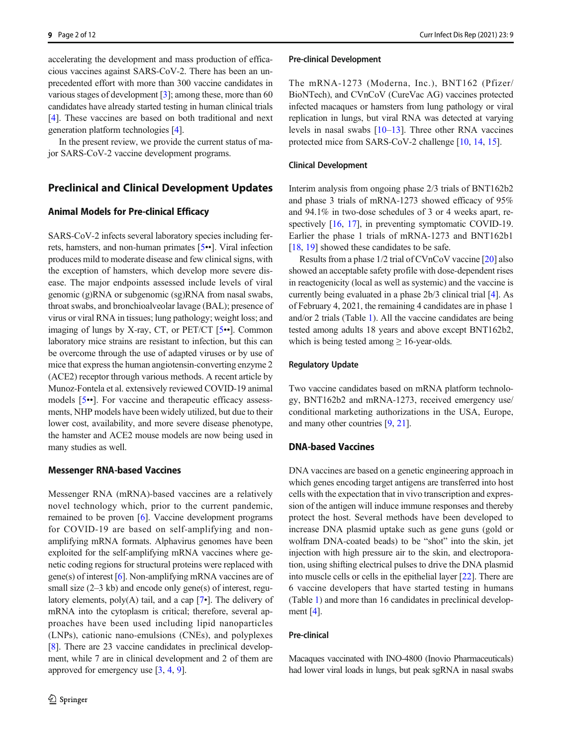accelerating the development and mass production of efficacious vaccines against SARS-CoV-2. There has been an unprecedented effort with more than 300 vaccine candidates in various stages of development [[3\]](#page-8-0); among these, more than 60 candidates have already started testing in human clinical trials [\[4](#page-8-0)]. These vaccines are based on both traditional and next generation platform technologies [[4\]](#page-8-0).

In the present review, we provide the current status of major SARS-CoV-2 vaccine development programs.

## Preclinical and Clinical Development Updates

## Animal Models for Pre-clinical Efficacy

SARS-CoV-2 infects several laboratory species including ferrets, hamsters, and non-human primates [\[5](#page-8-0)••]. Viral infection produces mild to moderate disease and few clinical signs, with the exception of hamsters, which develop more severe disease. The major endpoints assessed include levels of viral genomic (g)RNA or subgenomic (sg)RNA from nasal swabs, throat swabs, and bronchioalveolar lavage (BAL); presence of virus or viral RNA in tissues; lung pathology; weight loss; and imaging of lungs by X-ray, CT, or  $PET/CT$  [\[5](#page-8-0) $\cdot \cdot$ ]. Common laboratory mice strains are resistant to infection, but this can be overcome through the use of adapted viruses or by use of mice that express the human angiotensin-converting enzyme 2 (ACE2) receptor through various methods. A recent article by Munoz-Fontela et al. extensively reviewed COVID-19 animal models [[5](#page-8-0)••]. For vaccine and therapeutic efficacy assessments, NHP models have been widely utilized, but due to their lower cost, availability, and more severe disease phenotype, the hamster and ACE2 mouse models are now being used in many studies as well.

## Messenger RNA-based Vaccines

Messenger RNA (mRNA)-based vaccines are a relatively novel technology which, prior to the current pandemic, remained to be proven [[6\]](#page-8-0). Vaccine development programs for COVID-19 are based on self-amplifying and nonamplifying mRNA formats. Alphavirus genomes have been exploited for the self-amplifying mRNA vaccines where genetic coding regions for structural proteins were replaced with gene(s) of interest [[6\]](#page-8-0). Non-amplifying mRNA vaccines are of small size  $(2-3 \text{ kb})$  and encode only gene(s) of interest, regulatory elements, poly $(A)$  tail, and a cap  $[7\bullet]$  $[7\bullet]$ . The delivery of mRNA into the cytoplasm is critical; therefore, several approaches have been used including lipid nanoparticles (LNPs), cationic nano-emulsions (CNEs), and polyplexes [\[8](#page-8-0)]. There are 23 vaccine candidates in preclinical development, while 7 are in clinical development and 2 of them are approved for emergency use [[3](#page-8-0), [4](#page-8-0), [9](#page-8-0)].

#### Pre-clinical Development

The mRNA-1273 (Moderna, Inc.), BNT162 (Pfizer/ BioNTech), and CVnCoV (CureVac AG) vaccines protected infected macaques or hamsters from lung pathology or viral replication in lungs, but viral RNA was detected at varying levels in nasal swabs [[10](#page-8-0)–[13\]](#page-8-0). Three other RNA vaccines protected mice from SARS-CoV-2 challenge [\[10,](#page-8-0) [14,](#page-8-0) [15\]](#page-8-0).

#### Clinical Development

Interim analysis from ongoing phase 2/3 trials of BNT162b2 and phase 3 trials of mRNA-1273 showed efficacy of 95% and 94.1% in two-dose schedules of 3 or 4 weeks apart, respectively  $[16, 17]$  $[16, 17]$  $[16, 17]$  $[16, 17]$ , in preventing symptomatic COVID-19. Earlier the phase 1 trials of mRNA-1273 and BNT162b1 [\[18](#page-8-0), [19\]](#page-8-0) showed these candidates to be safe.

Results from a phase 1/2 trial of CVnCoV vaccine [[20\]](#page-8-0) also showed an acceptable safety profile with dose-dependent rises in reactogenicity (local as well as systemic) and the vaccine is currently being evaluated in a phase 2b/3 clinical trial [\[4](#page-8-0)]. As of February 4, 2021, the remaining 4 candidates are in phase 1 and/or 2 trials (Table [1](#page-2-0)). All the vaccine candidates are being tested among adults 18 years and above except BNT162b2, which is being tested among  $\geq 16$ -year-olds.

#### Regulatory Update

Two vaccine candidates based on mRNA platform technology, BNT162b2 and mRNA-1273, received emergency use/ conditional marketing authorizations in the USA, Europe, and many other countries [[9,](#page-8-0) [21\]](#page-8-0).

## DNA-based Vaccines

DNA vaccines are based on a genetic engineering approach in which genes encoding target antigens are transferred into host cells with the expectation that in vivo transcription and expression of the antigen will induce immune responses and thereby protect the host. Several methods have been developed to increase DNA plasmid uptake such as gene guns (gold or wolfram DNA-coated beads) to be "shot" into the skin, jet injection with high pressure air to the skin, and electroporation, using shifting electrical pulses to drive the DNA plasmid into muscle cells or cells in the epithelial layer [\[22\]](#page-8-0). There are 6 vaccine developers that have started testing in humans (Table [1\)](#page-2-0) and more than 16 candidates in preclinical development [\[4](#page-8-0)].

### Pre-clinical

Macaques vaccinated with INO-4800 (Inovio Pharmaceuticals) had lower viral loads in lungs, but peak sgRNA in nasal swabs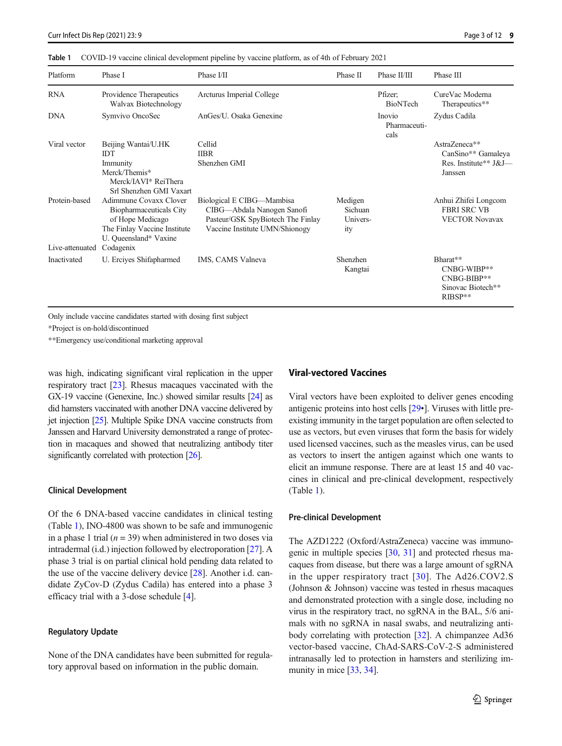<span id="page-2-0"></span>Table 1 COVID-19 vaccine clinical development pipeline by vaccine platform, as of 4th of February 2021

| Platform                         | Phase I                                                                                                                                     | Phase I/II                                                                                                                     | Phase II                              | Phase II/III                   | Phase III                                                               |
|----------------------------------|---------------------------------------------------------------------------------------------------------------------------------------------|--------------------------------------------------------------------------------------------------------------------------------|---------------------------------------|--------------------------------|-------------------------------------------------------------------------|
| <b>RNA</b>                       | Providence Therapeutics<br>Walvax Biotechnology                                                                                             | Arcturus Imperial College                                                                                                      |                                       | Pfizer;<br><b>BioNTech</b>     | CureVac Moderna<br>Therapeutics**                                       |
| <b>DNA</b>                       | Symvivo OncoSec                                                                                                                             | AnGes/U. Osaka Genexine                                                                                                        |                                       | Inovio<br>Pharmaceuti-<br>cals | Zydus Cadila                                                            |
| Viral vector                     | Beijing Wantai/U.HK<br><b>IDT</b><br>Immunity<br>Merck/Themis*<br>Merck/IAVI* ReiThera<br>Srl Shenzhen GMI Vaxart                           | Cellid<br><b>IIBR</b><br>Shenzhen GMI                                                                                          |                                       |                                | AstraZeneca**<br>CanSino** Gamaleya<br>Res. Institute** J&J-<br>Janssen |
| Protein-based<br>Live-attenuated | Adimmune Covaxx Clover<br>Biopharmaceuticals City<br>of Hope Medicago<br>The Finlay Vaccine Institute<br>U. Queensland* Vaxine<br>Codagenix | Biological E CIBG—Mambisa<br>CIBG—Abdala Nanogen Sanofi<br>Pasteur/GSK SpyBiotech The Finlay<br>Vaccine Institute UMN/Shionogy | Medigen<br>Sichuan<br>Univers-<br>ity |                                | Anhui Zhifei Longcom<br><b>FBRI SRC VB</b><br><b>VECTOR Novavax</b>     |
| Inactivated                      | U. Erciyes Shifapharmed                                                                                                                     | IMS, CAMS Valneva                                                                                                              | Shenzhen<br>Kangtai                   |                                | Bharat**<br>CNBG-WIBP**<br>CNBG-BIBP**<br>Sinovac Biotech**<br>RIBSP**  |

Only include vaccine candidates started with dosing first subject

\*Project is on-hold/discontinued

\*\*Emergency use/conditional marketing approval

was high, indicating significant viral replication in the upper respiratory tract [[23](#page-8-0)]. Rhesus macaques vaccinated with the GX-19 vaccine (Genexine, Inc.) showed similar results [[24](#page-8-0)] as did hamsters vaccinated with another DNA vaccine delivered by jet injection [\[25\]](#page-8-0). Multiple Spike DNA vaccine constructs from Janssen and Harvard University demonstrated a range of protection in macaques and showed that neutralizing antibody titer significantly correlated with protection [\[26](#page-8-0)].

#### Clinical Development

Of the 6 DNA-based vaccine candidates in clinical testing (Table 1), INO-4800 was shown to be safe and immunogenic in a phase 1 trial  $(n = 39)$  when administered in two doses via intradermal (i.d.) injection followed by electroporation [[27](#page-8-0)]. A phase 3 trial is on partial clinical hold pending data related to the use of the vaccine delivery device [[28](#page-8-0)]. Another i.d. candidate ZyCov-D (Zydus Cadila) has entered into a phase 3 efficacy trial with a 3-dose schedule [\[4](#page-8-0)].

## Regulatory Update

None of the DNA candidates have been submitted for regulatory approval based on information in the public domain.

## Viral-vectored Vaccines

Viral vectors have been exploited to deliver genes encoding antigenic proteins into host cells [\[29](#page-9-0)•]. Viruses with little preexisting immunity in the target population are often selected to use as vectors, but even viruses that form the basis for widely used licensed vaccines, such as the measles virus, can be used as vectors to insert the antigen against which one wants to elicit an immune response. There are at least 15 and 40 vaccines in clinical and pre-clinical development, respectively (Table 1).

## Pre-clinical Development

The AZD1222 (Oxford/AstraZeneca) vaccine was immunogenic in multiple species [[30,](#page-9-0) [31](#page-9-0)] and protected rhesus macaques from disease, but there was a large amount of sgRNA in the upper respiratory tract  $[30]$  $[30]$ . The Ad26.COV2.S (Johnson & Johnson) vaccine was tested in rhesus macaques and demonstrated protection with a single dose, including no virus in the respiratory tract, no sgRNA in the BAL, 5/6 animals with no sgRNA in nasal swabs, and neutralizing antibody correlating with protection [\[32](#page-9-0)]. A chimpanzee Ad36 vector-based vaccine, ChAd-SARS-CoV-2-S administered intranasally led to protection in hamsters and sterilizing immunity in mice [\[33,](#page-9-0) [34\]](#page-9-0).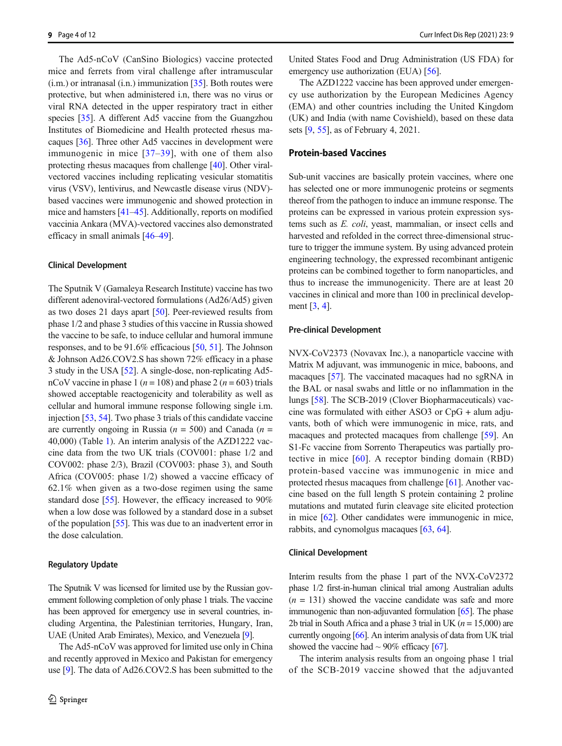The Ad5-nCoV (CanSino Biologics) vaccine protected mice and ferrets from viral challenge after intramuscular (i.m.) or intranasal (i.n.) immunization [\[35\]](#page-9-0). Both routes were protective, but when administered i.n, there was no virus or viral RNA detected in the upper respiratory tract in either species [[35\]](#page-9-0). A different Ad5 vaccine from the Guangzhou Institutes of Biomedicine and Health protected rhesus macaques [[36](#page-9-0)]. Three other Ad5 vaccines in development were immunogenic in mice [[37](#page-9-0)–[39\]](#page-9-0), with one of them also protecting rhesus macaques from challenge [[40](#page-9-0)]. Other viralvectored vaccines including replicating vesicular stomatitis virus (VSV), lentivirus, and Newcastle disease virus (NDV) based vaccines were immunogenic and showed protection in mice and hamsters [[41](#page-9-0)–[45](#page-9-0)]. Additionally, reports on modified vaccinia Ankara (MVA)-vectored vaccines also demonstrated efficacy in small animals [\[46](#page-9-0)–[49](#page-9-0)].

#### Clinical Development

The Sputnik V (Gamaleya Research Institute) vaccine has two different adenoviral-vectored formulations (Ad26/Ad5) given as two doses 21 days apart [[50](#page-9-0)]. Peer-reviewed results from phase 1/2 and phase 3 studies of this vaccine in Russia showed the vaccine to be safe, to induce cellular and humoral immune responses, and to be 91.6% efficacious [\[50,](#page-9-0) [51](#page-9-0)]. The Johnson & Johnson Ad26.COV2.S has shown 72% efficacy in a phase 3 study in the USA [\[52](#page-9-0)]. A single-dose, non-replicating Ad5 nCoV vaccine in phase 1 ( $n = 108$ ) and phase 2 ( $n = 603$ ) trials showed acceptable reactogenicity and tolerability as well as cellular and humoral immune response following single i.m. injection [\[53,](#page-9-0) [54](#page-9-0)]. Two phase 3 trials of this candidate vaccine are currently ongoing in Russia ( $n = 500$ ) and Canada ( $n =$ 40,000) (Table [1\)](#page-2-0). An interim analysis of the AZD1222 vaccine data from the two UK trials (COV001: phase 1/2 and COV002: phase 2/3), Brazil (COV003: phase 3), and South Africa (COV005: phase 1/2) showed a vaccine efficacy of 62.1% when given as a two-dose regimen using the same standard dose [\[55](#page-9-0)]. However, the efficacy increased to 90% when a low dose was followed by a standard dose in a subset of the population [\[55](#page-9-0)]. This was due to an inadvertent error in the dose calculation.

## Regulatory Update

The Sputnik V was licensed for limited use by the Russian government following completion of only phase 1 trials. The vaccine has been approved for emergency use in several countries, including Argentina, the Palestinian territories, Hungary, Iran, UAE (United Arab Emirates), Mexico, and Venezuela [\[9](#page-8-0)].

The Ad5-nCoV was approved for limited use only in China and recently approved in Mexico and Pakistan for emergency use [[9\]](#page-8-0). The data of Ad26.COV2.S has been submitted to the

United States Food and Drug Administration (US FDA) for emergency use authorization (EUA) [[56](#page-9-0)].

The AZD1222 vaccine has been approved under emergency use authorization by the European Medicines Agency (EMA) and other countries including the United Kingdom (UK) and India (with name Covishield), based on these data sets [\[9](#page-8-0), [55](#page-9-0)], as of February 4, 2021.

## Protein-based Vaccines

Sub-unit vaccines are basically protein vaccines, where one has selected one or more immunogenic proteins or segments thereof from the pathogen to induce an immune response. The proteins can be expressed in various protein expression systems such as E. coli, yeast, mammalian, or insect cells and harvested and refolded in the correct three-dimensional structure to trigger the immune system. By using advanced protein engineering technology, the expressed recombinant antigenic proteins can be combined together to form nanoparticles, and thus to increase the immunogenicity. There are at least 20 vaccines in clinical and more than 100 in preclinical development [\[3](#page-8-0), [4](#page-8-0)].

## Pre-clinical Development

NVX-CoV2373 (Novavax Inc.), a nanoparticle vaccine with Matrix M adjuvant, was immunogenic in mice, baboons, and macaques [[57\]](#page-10-0). The vaccinated macaques had no sgRNA in the BAL or nasal swabs and little or no inflammation in the lungs [\[58\]](#page-10-0). The SCB-2019 (Clover Biopharmaceuticals) vaccine was formulated with either ASO3 or CpG + alum adjuvants, both of which were immunogenic in mice, rats, and macaques and protected macaques from challenge [\[59\]](#page-10-0). An S1-Fc vaccine from Sorrento Therapeutics was partially protective in mice [[60](#page-10-0)]. A receptor binding domain (RBD) protein-based vaccine was immunogenic in mice and protected rhesus macaques from challenge [[61\]](#page-10-0). Another vaccine based on the full length S protein containing 2 proline mutations and mutated furin cleavage site elicited protection in mice [\[62\]](#page-10-0). Other candidates were immunogenic in mice, rabbits, and cynomolgus macaques [\[63](#page-10-0), [64\]](#page-10-0).

## Clinical Development

Interim results from the phase 1 part of the NVX-CoV2372 phase 1/2 first-in-human clinical trial among Australian adults  $(n = 131)$  showed the vaccine candidate was safe and more immunogenic than non-adjuvanted formulation [\[65\]](#page-10-0). The phase 2b trial in South Africa and a phase 3 trial in UK ( $n = 15,000$ ) are currently ongoing [[66](#page-10-0)]. An interim analysis of data from UK trial showed the vaccine had  $\sim$  90% efficacy [[67](#page-10-0)].

The interim analysis results from an ongoing phase 1 trial of the SCB-2019 vaccine showed that the adjuvanted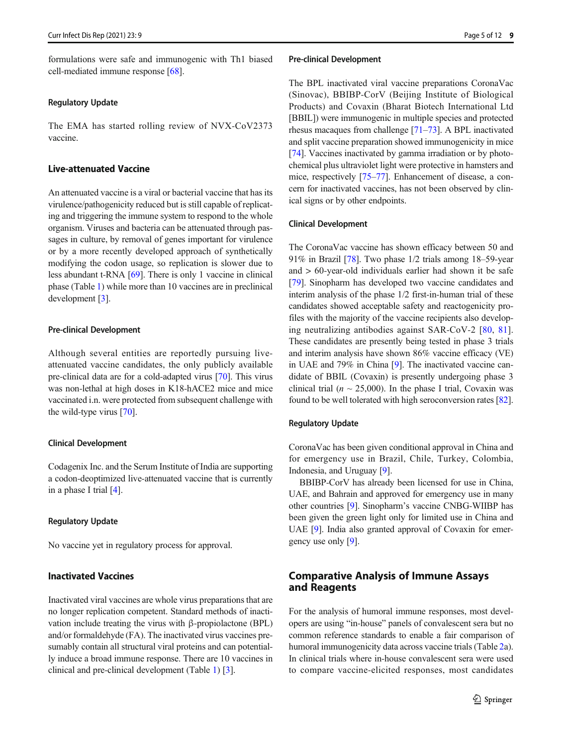formulations were safe and immunogenic with Th1 biased cell-mediated immune response [\[68\]](#page-10-0).

## Regulatory Update

The EMA has started rolling review of NVX-CoV2373 vaccine.

## Live-attenuated Vaccine

An attenuated vaccine is a viral or bacterial vaccine that has its virulence/pathogenicity reduced but is still capable of replicating and triggering the immune system to respond to the whole organism. Viruses and bacteria can be attenuated through passages in culture, by removal of genes important for virulence or by a more recently developed approach of synthetically modifying the codon usage, so replication is slower due to less abundant t-RNA [[69](#page-10-0)]. There is only 1 vaccine in clinical phase (Table [1\)](#page-2-0) while more than 10 vaccines are in preclinical development [[3\]](#page-8-0).

#### Pre-clinical Development

Although several entities are reportedly pursuing liveattenuated vaccine candidates, the only publicly available pre-clinical data are for a cold-adapted virus [\[70](#page-10-0)]. This virus was non-lethal at high doses in K18-hACE2 mice and mice vaccinated i.n. were protected from subsequent challenge with the wild-type virus  $[70]$ .

### Clinical Development

Codagenix Inc. and the Serum Institute of India are supporting a codon-deoptimized live-attenuated vaccine that is currently in a phase I trial [[4\]](#page-8-0).

#### Regulatory Update

No vaccine yet in regulatory process for approval.

## Inactivated Vaccines

Inactivated viral vaccines are whole virus preparations that are no longer replication competent. Standard methods of inactivation include treating the virus with β-propiolactone (BPL) and/or formaldehyde (FA). The inactivated virus vaccines presumably contain all structural viral proteins and can potentially induce a broad immune response. There are 10 vaccines in clinical and pre-clinical development (Table [1](#page-2-0)) [\[3](#page-8-0)].

#### Pre-clinical Development

The BPL inactivated viral vaccine preparations CoronaVac (Sinovac), BBIBP-CorV (Beijing Institute of Biological Products) and Covaxin (Bharat Biotech International Ltd [BBIL]) were immunogenic in multiple species and protected rhesus macaques from challenge [[71](#page-10-0)–[73](#page-10-0)]. A BPL inactivated and split vaccine preparation showed immunogenicity in mice [\[74](#page-10-0)]. Vaccines inactivated by gamma irradiation or by photochemical plus ultraviolet light were protective in hamsters and mice, respectively [\[75](#page-10-0)–[77](#page-10-0)]. Enhancement of disease, a concern for inactivated vaccines, has not been observed by clinical signs or by other endpoints.

#### Clinical Development

The CoronaVac vaccine has shown efficacy between 50 and 91% in Brazil [[78](#page-10-0)]. Two phase 1/2 trials among 18–59-year and > 60-year-old individuals earlier had shown it be safe [\[79](#page-10-0)]. Sinopharm has developed two vaccine candidates and interim analysis of the phase 1/2 first-in-human trial of these candidates showed acceptable safety and reactogenicity profiles with the majority of the vaccine recipients also developing neutralizing antibodies against SAR-CoV-2 [\[80,](#page-10-0) [81](#page-10-0)]. These candidates are presently being tested in phase 3 trials and interim analysis have shown 86% vaccine efficacy (VE) in UAE and 79% in China [\[9\]](#page-8-0). The inactivated vaccine candidate of BBIL (Covaxin) is presently undergoing phase 3 clinical trial ( $n \sim 25,000$ ). In the phase I trial, Covaxin was found to be well tolerated with high seroconversion rates [[82\]](#page-10-0).

## Regulatory Update

CoronaVac has been given conditional approval in China and for emergency use in Brazil, Chile, Turkey, Colombia, Indonesia, and Uruguay [\[9](#page-8-0)].

BBIBP-CorV has already been licensed for use in China, UAE, and Bahrain and approved for emergency use in many other countries [[9\]](#page-8-0). Sinopharm's vaccine CNBG-WIIBP has been given the green light only for limited use in China and UAE [[9\]](#page-8-0). India also granted approval of Covaxin for emergency use only [[9\]](#page-8-0).

# Comparative Analysis of Immune Assays and Reagents

For the analysis of humoral immune responses, most developers are using "in-house" panels of convalescent sera but no common reference standards to enable a fair comparison of humoral immunogenicity data across vaccine trials (Table [2](#page-5-0)a). In clinical trials where in-house convalescent sera were used to compare vaccine-elicited responses, most candidates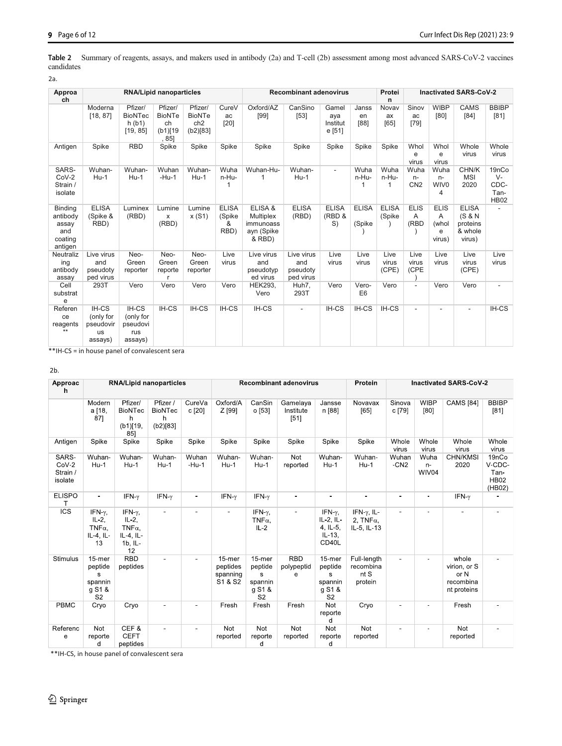<span id="page-5-0"></span>

|            | Table 2 Summary of reagents, assays, and makers used in antibody (2a) and T-cell (2b) assessment among most advanced SARS-CoV-2 vaccines |  |  |  |  |
|------------|------------------------------------------------------------------------------------------------------------------------------------------|--|--|--|--|
| candidates |                                                                                                                                          |  |  |  |  |

2a.

| Approa<br>ch                                              | <b>RNA/Lipid nanoparticles</b>                          |                                                  |                                                       |                                                         |                                     | <b>Recombinant adenovirus</b>                             | Protei<br>n                                | <b>Inactivated SARS-CoV-2</b>      |                         |                        |                                 |                                          |                                                         |                                               |
|-----------------------------------------------------------|---------------------------------------------------------|--------------------------------------------------|-------------------------------------------------------|---------------------------------------------------------|-------------------------------------|-----------------------------------------------------------|--------------------------------------------|------------------------------------|-------------------------|------------------------|---------------------------------|------------------------------------------|---------------------------------------------------------|-----------------------------------------------|
|                                                           | Moderna<br>[18, 87]                                     | Pfizer/<br><b>BioNTec</b><br>h(b1)<br>[19, 85]   | Pfizer/<br><b>BioNTe</b><br>ch<br>$(b1)$ [19<br>, 85] | Pfizer/<br><b>BioNTe</b><br>ch <sub>2</sub><br>(b2)[83] | CureV<br>ac<br>[20]                 | Oxford/AZ<br>[99]                                         | CanSino<br>$[53]$                          | Gamel<br>aya<br>Institut<br>e [51] | Janss<br>en<br>[88]     | Novav<br>ax<br>[65]    | Sinov<br>ac<br>$[79]$           | <b>WIBP</b><br>[80]                      | <b>CAMS</b><br>[84]                                     | <b>BBIBP</b><br>$[81]$                        |
| Antigen                                                   | Spike                                                   | <b>RBD</b>                                       | Spike                                                 | Spike                                                   | Spike                               | Spike                                                     | Spike                                      | Spike                              | Spike                   | Spike                  | Whol<br>e<br>virus              | Whol<br>e<br>virus                       | Whole<br>virus                                          | Whole<br>virus                                |
| SARS-<br>$CoV-2$<br>Strain /<br>isolate                   | Wuhan-<br>$Hu-1$                                        | Wuhan-<br>$Hu-1$                                 | Wuhan<br>$-Hu-1$                                      | Wuhan-<br>$Hu-1$                                        | Wuha<br>n-Hu-                       | Wuhan-Hu-                                                 | Wuhan-<br>$Hu-1$                           | ٠                                  | Wuha<br>n-Hu-<br>1      | Wuha<br>n-Hu-<br>1     | Wuha<br>$n-$<br>CN <sub>2</sub> | Wuha<br>$n-$<br>WIV0<br>4                | CHN/K<br><b>MSI</b><br>2020                             | 19nCo<br>$V -$<br>CDC-<br>Tan-<br><b>HB02</b> |
| Binding<br>antibody<br>assay<br>and<br>coating<br>antigen | <b>ELISA</b><br>(Spike &<br>RBD)                        | Luminex<br>(RBD)                                 | Lumine<br>x<br>(RBD)                                  | Lumine<br>x(S1)                                         | <b>ELISA</b><br>(Spike<br>&<br>RBD) | ELISA &<br>Multiplex<br>immunoass<br>ayn (Spike<br>& RBD) | <b>ELISA</b><br>(RBD)                      | <b>ELISA</b><br>(RBD &<br>S)       | <b>ELISA</b><br>(Spike  | <b>ELISA</b><br>(Spike | <b>ELIS</b><br>A<br>(RBD        | <b>ELIS</b><br>A<br>(whol<br>e<br>virus) | <b>ELISA</b><br>(S & N<br>proteins<br>& whole<br>virus) |                                               |
| Neutraliz<br>ing<br>antibody<br>assay                     | Live virus<br>and<br>pseudoty<br>ped virus              | Neo-<br>Green<br>reporter                        | Neo-<br>Green<br>reporte<br>r                         | Neo-<br>Green<br>reporter                               | Live<br>virus                       | Live virus<br>and<br>pseudotyp<br>ed virus                | Live virus<br>and<br>pseudoty<br>ped virus | Live<br>virus                      | Live<br>virus           | Live<br>virus<br>(CPE) | Live<br>virus<br>(CPE           | Live<br>virus                            | Live<br>virus<br>(CPE)                                  | Live<br>virus                                 |
| Cell<br>substrat<br>e                                     | 293T                                                    | Vero                                             | Vero                                                  | Vero                                                    | Vero                                | <b>HEK293.</b><br>Vero                                    | Huh7,<br>293T                              | Vero                               | Vero-<br>E <sub>6</sub> | Vero                   | ٠                               | Vero                                     | Vero                                                    | $\overline{\phantom{a}}$                      |
| Referen<br>ce<br>reagents<br>$**$                         | IH-CS<br>(only for<br>pseudovir<br><b>us</b><br>assays) | IH-CS<br>(only for<br>pseudovi<br>rus<br>assays) | IH-CS                                                 | IH-CS                                                   | IH-CS                               | IH-CS                                                     |                                            | IH-CS                              | IH-CS                   | IH-CS                  |                                 |                                          | ۰                                                       | IH-CS                                         |

\*\*IH-CS = in house panel of convalescent sera

 $2b.$ 

| Approac<br>h                            |                                                                  |                                                                                 | <b>RNA/Lipid nanoparticles</b>              |                  |                                           |                                                                  | <b>Recombinant adenovirus</b>   |                                                               | Protein                                                 | <b>Inactivated SARS-CoV-2</b> |                       |                                                           |                                                  |
|-----------------------------------------|------------------------------------------------------------------|---------------------------------------------------------------------------------|---------------------------------------------|------------------|-------------------------------------------|------------------------------------------------------------------|---------------------------------|---------------------------------------------------------------|---------------------------------------------------------|-------------------------------|-----------------------|-----------------------------------------------------------|--------------------------------------------------|
|                                         | Modern<br>a [18,<br>871                                          | Pfizer/<br><b>BioNTec</b><br>h<br>(b1)[19,<br>85]                               | Pfizer /<br><b>BioNTec</b><br>h<br>(b2)[83] | CureVa<br>c [20] | Oxford/A<br>Z [99]                        | CanSin<br>o[53]                                                  | Gamelaya<br>Institute<br>$[51]$ | Jansse<br>n [88]                                              | Novavax<br>[65]                                         | Sinova<br>c [79]              | <b>WIBP</b><br>[80]   | <b>CAMS</b> [84]                                          | <b>BBIBP</b><br>[81]                             |
| Antigen                                 | Spike                                                            | Spike                                                                           | Spike                                       | Spike            | Spike                                     | Spike                                                            | Spike                           | Spike                                                         | Spike                                                   | Whole<br>virus                | Whole<br>virus        | Whole<br>virus                                            | Whole<br>virus                                   |
| SARS-<br>$CoV-2$<br>Strain /<br>isolate | Wuhan-<br>$Hu-1$                                                 | Wuhan-<br>$Hu-1$                                                                | Wuhan-<br>$Hu-1$                            | Wuhan<br>$-Hu-1$ | Wuhan-<br>$Hu-1$                          | Wuhan-<br>$Hu-1$                                                 | Not<br>reported                 | Wuhan-<br>$Hu-1$                                              | Wuhan-<br>Hu-1                                          | Wuhan<br>$-CN2$               | Wuha<br>$n-$<br>WIV04 | CHN/KMSI<br>2020                                          | 19nCo<br>V-CDC-<br>Tan-<br><b>HB02</b><br>(HB02) |
| <b>ELISPO</b>                           | $\blacksquare$                                                   | $IFN-\gamma$                                                                    | IFN- $\gamma$                               | $\blacksquare$   | IFN- $\gamma$                             | IFN- $\gamma$                                                    |                                 |                                                               |                                                         | $\blacksquare$                |                       | IFN- $\nu$                                                |                                                  |
| <b>ICS</b>                              | IFN-y,<br>$IL-2$<br>$TNF\alpha$ .<br>IL-4, IL-<br>13             | IFN- $\gamma$ ,<br>$IL-2$ ,<br>TNF $\alpha$ .<br>IL $4$ , IL<br>$1b, IL-$<br>12 | $\blacksquare$                              | $\blacksquare$   |                                           | IFN-y,<br>$TNF\alpha$<br>$IL-2$                                  | $\blacksquare$                  | IFN-y,<br>$IL-2, IL-$<br>4, IL-5,<br>$IL-13$<br>CD40L         | IFN- $\gamma$ , IL-<br>2. TNF $\alpha$ ,<br>IL-5, IL-13 | $\blacksquare$                | $\blacksquare$        | $\blacksquare$                                            | ۰                                                |
| <b>Stimulus</b>                         | $15$ -mer<br>peptide<br>s<br>spannin<br>g S1 &<br>S <sub>2</sub> | <b>RBD</b><br>peptides                                                          |                                             | $\blacksquare$   | 15-mer<br>peptides<br>spanning<br>S1 & S2 | $15$ -mer<br>peptide<br>s<br>spannin<br>g S1 &<br>S <sub>2</sub> | <b>RBD</b><br>polypeptid<br>e   | 15-mer<br>peptide<br>s<br>spannin<br>g S1 &<br>S <sub>2</sub> | Full-length<br>recombina<br>nt S<br>protein             | $\blacksquare$                | $\blacksquare$        | whole<br>virion, or S<br>or N<br>recombina<br>nt proteins |                                                  |
| <b>PBMC</b>                             | Cryo                                                             | Cryo                                                                            |                                             |                  | Fresh                                     | Fresh                                                            | Fresh                           | Not<br>reporte<br>d                                           | Cryo                                                    |                               |                       | Fresh                                                     |                                                  |
| Referenc<br>e                           | Not<br>reporte<br>d                                              | CEF&<br><b>CEFT</b><br>peptides                                                 |                                             | ۰                | Not<br>reported                           | <b>Not</b><br>reporte<br>d                                       | Not<br>reported                 | Not<br>reporte<br>d                                           | Not<br>reported                                         | ÷                             |                       | Not<br>reported                                           |                                                  |

\*\*IH-CS, in house panel of convalescent sera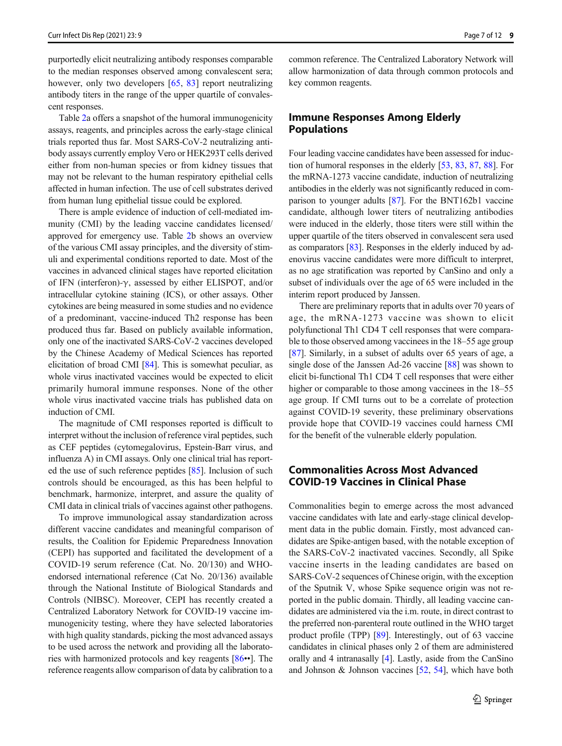purportedly elicit neutralizing antibody responses comparable to the median responses observed among convalescent sera; however, only two developers [\[65](#page-10-0), [83\]](#page-10-0) report neutralizing antibody titers in the range of the upper quartile of convalescent responses.

Table [2a](#page-5-0) offers a snapshot of the humoral immunogenicity assays, reagents, and principles across the early-stage clinical trials reported thus far. Most SARS-CoV-2 neutralizing antibody assays currently employ Vero or HEK293T cells derived either from non-human species or from kidney tissues that may not be relevant to the human respiratory epithelial cells affected in human infection. The use of cell substrates derived from human lung epithelial tissue could be explored.

There is ample evidence of induction of cell-mediated immunity (CMI) by the leading vaccine candidates licensed/ approved for emergency use. Table [2b](#page-5-0) shows an overview of the various CMI assay principles, and the diversity of stimuli and experimental conditions reported to date. Most of the vaccines in advanced clinical stages have reported elicitation of IFN (interferon)-γ, assessed by either ELISPOT, and/or intracellular cytokine staining (ICS), or other assays. Other cytokines are being measured in some studies and no evidence of a predominant, vaccine-induced Th2 response has been produced thus far. Based on publicly available information, only one of the inactivated SARS-CoV-2 vaccines developed by the Chinese Academy of Medical Sciences has reported elicitation of broad CMI [[84](#page-10-0)]. This is somewhat peculiar, as whole virus inactivated vaccines would be expected to elicit primarily humoral immune responses. None of the other whole virus inactivated vaccine trials has published data on induction of CMI.

The magnitude of CMI responses reported is difficult to interpret without the inclusion of reference viral peptides, such as CEF peptides (cytomegalovirus, Epstein-Barr virus, and influenza A) in CMI assays. Only one clinical trial has reported the use of such reference peptides [[85\]](#page-10-0). Inclusion of such controls should be encouraged, as this has been helpful to benchmark, harmonize, interpret, and assure the quality of CMI data in clinical trials of vaccines against other pathogens.

To improve immunological assay standardization across different vaccine candidates and meaningful comparison of results, the Coalition for Epidemic Preparedness Innovation (CEPI) has supported and facilitated the development of a COVID-19 serum reference (Cat. No. 20/130) and WHOendorsed international reference (Cat No. 20/136) available through the National Institute of Biological Standards and Controls (NIBSC). Moreover, CEPI has recently created a Centralized Laboratory Network for COVID-19 vaccine immunogenicity testing, where they have selected laboratories with high quality standards, picking the most advanced assays to be used across the network and providing all the laboratories with harmonized protocols and key reagents [[86](#page-10-0)••]. The reference reagents allow comparison of data by calibration to a

common reference. The Centralized Laboratory Network will allow harmonization of data through common protocols and key common reagents.

# Immune Responses Among Elderly Populations

Four leading vaccine candidates have been assessed for induction of humoral responses in the elderly [[53](#page-9-0), [83](#page-10-0), [87](#page-10-0), [88](#page-10-0)]. For the mRNA-1273 vaccine candidate, induction of neutralizing antibodies in the elderly was not significantly reduced in comparison to younger adults [\[87\]](#page-10-0). For the BNT162b1 vaccine candidate, although lower titers of neutralizing antibodies were induced in the elderly, those titers were still within the upper quartile of the titers observed in convalescent sera used as comparators [\[83](#page-10-0)]. Responses in the elderly induced by adenovirus vaccine candidates were more difficult to interpret, as no age stratification was reported by CanSino and only a subset of individuals over the age of 65 were included in the interim report produced by Janssen.

There are preliminary reports that in adults over 70 years of age, the mRNA-1273 vaccine was shown to elicit polyfunctional Th1 CD4 T cell responses that were comparable to those observed among vaccinees in the 18–55 age group [\[87](#page-10-0)]. Similarly, in a subset of adults over 65 years of age, a single dose of the Janssen Ad-26 vaccine [\[88](#page-10-0)] was shown to elicit bi-functional Th1 CD4 T cell responses that were either higher or comparable to those among vaccinees in the  $18-55$ age group. If CMI turns out to be a correlate of protection against COVID-19 severity, these preliminary observations provide hope that COVID-19 vaccines could harness CMI for the benefit of the vulnerable elderly population.

# Commonalities Across Most Advanced COVID-19 Vaccines in Clinical Phase

Commonalities begin to emerge across the most advanced vaccine candidates with late and early-stage clinical development data in the public domain. Firstly, most advanced candidates are Spike-antigen based, with the notable exception of the SARS-CoV-2 inactivated vaccines. Secondly, all Spike vaccine inserts in the leading candidates are based on SARS-CoV-2 sequences of Chinese origin, with the exception of the Sputnik V, whose Spike sequence origin was not reported in the public domain. Thirdly, all leading vaccine candidates are administered via the i.m. route, in direct contrast to the preferred non-parenteral route outlined in the WHO target product profile (TPP) [\[89\]](#page-11-0). Interestingly, out of 63 vaccine candidates in clinical phases only 2 of them are administered orally and 4 intranasally [[4\]](#page-8-0). Lastly, aside from the CanSino and Johnson & Johnson vaccines [\[52](#page-9-0), [54\]](#page-9-0), which have both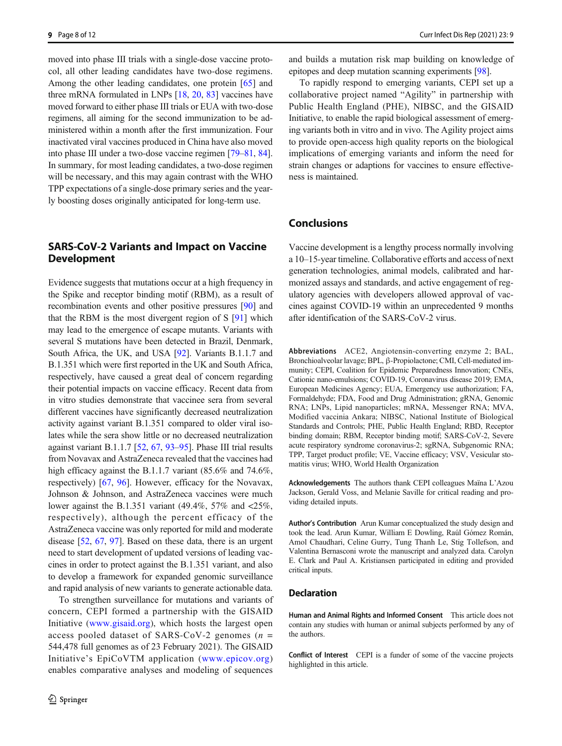moved into phase III trials with a single-dose vaccine protocol, all other leading candidates have two-dose regimens. Among the other leading candidates, one protein [[65\]](#page-10-0) and three mRNA formulated in LNPs [\[18](#page-8-0), [20](#page-8-0), [83](#page-10-0)] vaccines have moved forward to either phase III trials or EUA with two-dose regimens, all aiming for the second immunization to be administered within a month after the first immunization. Four inactivated viral vaccines produced in China have also moved into phase III under a two-dose vaccine regimen [\[79](#page-10-0)–[81,](#page-10-0) [84\]](#page-10-0). In summary, for most leading candidates, a two-dose regimen will be necessary, and this may again contrast with the WHO TPP expectations of a single-dose primary series and the yearly boosting doses originally anticipated for long-term use.

# SARS-CoV-2 Variants and Impact on Vaccine Development

Evidence suggests that mutations occur at a high frequency in the Spike and receptor binding motif (RBM), as a result of recombination events and other positive pressures [\[90](#page-11-0)] and that the RBM is the most divergent region of S [[91\]](#page-11-0) which may lead to the emergence of escape mutants. Variants with several S mutations have been detected in Brazil, Denmark, South Africa, the UK, and USA [[92](#page-11-0)]. Variants B.1.1.7 and B.1.351 which were first reported in the UK and South Africa, respectively, have caused a great deal of concern regarding their potential impacts on vaccine efficacy. Recent data from in vitro studies demonstrate that vaccinee sera from several different vaccines have significantly decreased neutralization activity against variant B.1.351 compared to older viral isolates while the sera show little or no decreased neutralization against variant B.1.1.7 [\[52,](#page-9-0) [67](#page-10-0), [93](#page-11-0)–[95\]](#page-11-0). Phase III trial results from Novavax and AstraZeneca revealed that the vaccines had high efficacy against the B.1.1.7 variant (85.6% and 74.6%, respectively) [\[67,](#page-10-0) [96](#page-11-0)]. However, efficacy for the Novavax, Johnson & Johnson, and AstraZeneca vaccines were much lower against the B.1.351 variant  $(49.4\%, 57\%$  and  $\langle 25\%,$ respectively), although the percent efficacy of the AstraZeneca vaccine was only reported for mild and moderate disease [\[52](#page-9-0), [67](#page-10-0), [97](#page-11-0)]. Based on these data, there is an urgent need to start development of updated versions of leading vaccines in order to protect against the B.1.351 variant, and also to develop a framework for expanded genomic surveillance and rapid analysis of new variants to generate actionable data.

To strengthen surveillance for mutations and variants of concern, CEPI formed a partnership with the GISAID Initiative ([www.gisaid.org](http://www.gisaid.org)), which hosts the largest open access pooled dataset of SARS-CoV-2 genomes  $(n =$ 544,478 full genomes as of 23 February 2021). The GISAID Initiative's EpiCoVTM application ([www.epicov.org\)](http://www.epicov.org) enables comparative analyses and modeling of sequences

and builds a mutation risk map building on knowledge of epitopes and deep mutation scanning experiments [[98\]](#page-11-0).

To rapidly respond to emerging variants, CEPI set up a collaborative project named "Agility" in partnership with Public Health England (PHE), NIBSC, and the GISAID Initiative, to enable the rapid biological assessment of emerging variants both in vitro and in vivo. The Agility project aims to provide open-access high quality reports on the biological implications of emerging variants and inform the need for strain changes or adaptions for vaccines to ensure effectiveness is maintained.

## Conclusions

Vaccine development is a lengthy process normally involving a 10–15-year timeline. Collaborative efforts and access of next generation technologies, animal models, calibrated and harmonized assays and standards, and active engagement of regulatory agencies with developers allowed approval of vaccines against COVID-19 within an unprecedented 9 months after identification of the SARS-CoV-2 virus.

Abbreviations ACE2, Angiotensin-converting enzyme 2; BAL, Bronchioalveolar lavage; BPL, β-Propiolactone; CMI, Cell-mediated immunity; CEPI, Coalition for Epidemic Preparedness Innovation; CNEs, Cationic nano-emulsions; COVID-19, Coronavirus disease 2019; EMA, European Medicines Agency; EUA, Emergency use authorization; FA, Formaldehyde; FDA, Food and Drug Administration; gRNA, Genomic RNA; LNPs, Lipid nanoparticles; mRNA, Messenger RNA; MVA, Modified vaccinia Ankara; NIBSC, National Institute of Biological Standards and Controls; PHE, Public Health England; RBD, Receptor binding domain; RBM, Receptor binding motif; SARS-CoV-2, Severe acute respiratory syndrome coronavirus-2; sgRNA, Subgenomic RNA; TPP, Target product profile; VE, Vaccine efficacy; VSV, Vesicular stomatitis virus; WHO, World Health Organization

Acknowledgements The authors thank CEPI colleagues Maïna L'Azou Jackson, Gerald Voss, and Melanie Saville for critical reading and providing detailed inputs.

Author's Contribution Arun Kumar conceptualized the study design and took the lead. Arun Kumar, William E Dowling, Raúl Gómez Román, Amol Chaudhari, Celine Gurry, Tung Thanh Le, Stig Tollefson, and Valentina Bernasconi wrote the manuscript and analyzed data. Carolyn E. Clark and Paul A. Kristiansen participated in editing and provided critical inputs.

## Declaration

Human and Animal Rights and Informed Consent This article does not contain any studies with human or animal subjects performed by any of the authors.

Conflict of Interest CEPI is a funder of some of the vaccine projects highlighted in this article.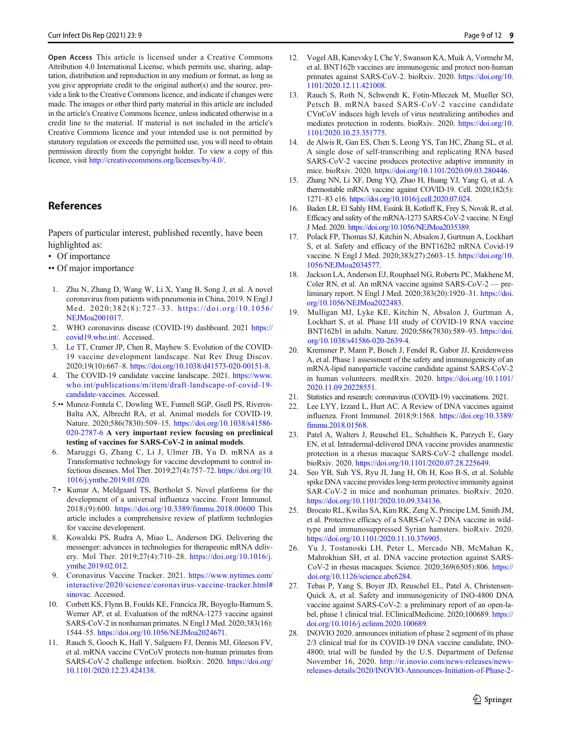<span id="page-8-0"></span>Open Access This article is licensed under a Creative Commons Attribution 4.0 International License, which permits use, sharing, adaptation, distribution and reproduction in any medium or format, as long as you give appropriate credit to the original author(s) and the source, provide a link to the Creative Commons licence, and indicate if changes were made. The images or other third party material in this article are included in the article's Creative Commons licence, unless indicated otherwise in a credit line to the material. If material is not included in the article's Creative Commons licence and your intended use is not permitted by statutory regulation or exceeds the permitted use, you will need to obtain permission directly from the copyright holder. To view a copy of this licence, visit <http://creativecommons.org/licenses/by/4.0/>.

# **References**

Papers of particular interest, published recently, have been highlighted as:

- Of importance
- •• Of major importance
- 1. Zhu N, Zhang D, Wang W, Li X, Yang B, Song J, et al. A novel coronavirus from patients with pneumonia in China, 2019. N Engl J Med. 2020;382(8):727–33. [https://doi.org/10.1056/](https://doi.org/10.1056/NEJMoa2001017) [NEJMoa2001017](https://doi.org/10.1056/NEJMoa2001017).
- 2. WHO coronavirus disease (COVID-19) dashboard. 2021 [https://](https://covid19.who.int/) [covid19.who.int/.](https://covid19.who.int/) Accessed.
- 3. Le TT, Cramer JP, Chen R, Mayhew S. Evolution of the COVID-19 vaccine development landscape. Nat Rev Drug Discov. 2020;19(10):667–8. [https://doi.org/10.1038/d41573-020-00151-8.](https://doi.org/10.1038/d41573-020-00151-8)
- 4. The COVID-19 candidate vaccine landscape. 2021. [https://www.](https://www.who.int/publications/m/item/draft-landscape-of-covid-19-candidate-vaccines) [who.int/publications/m/item/draft-landscape-of-covid-19](https://www.who.int/publications/m/item/draft-landscape-of-covid-19-candidate-vaccines) [candidate-vaccines](https://www.who.int/publications/m/item/draft-landscape-of-covid-19-candidate-vaccines). Accessed.
- 5.•• Munoz-Fontela C, Dowling WE, Funnell SGP, Gsell PS, Riveros-Balta AX, Albrecht RA, et al. Animal models for COVID-19. Nature. 2020;586(7830):509–15. [https://doi.org/10.1038/s41586-](https://doi.org/10.1038/s41586-020-2787-6) [020-2787-6](https://doi.org/10.1038/s41586-020-2787-6) A very important review focusing on preclinical testing of vaccines for SARS-CoV-2 in animal models.
- 6. Maruggi G, Zhang C, Li J, Ulmer JB, Yu D. mRNA as a Transformative technology for vaccine development to control infectious diseases. Mol Ther. 2019;27(4):757–72. [https://doi.org/10.](https://doi.org/10.1016/j.ymthe.2019.01.020) [1016/j.ymthe.2019.01.020.](https://doi.org/10.1016/j.ymthe.2019.01.020)
- 7.• Kumar A, Meldgaard TS, Bertholet S. Novel platforms for the development of a universal influenza vaccine. Front Immunol. 2018;(9):600. <https://doi.org/10.3389/fimmu.2018.00600> This article includes a comprehensive review of platform technlogies for vaccine development.
- 8. Kowalski PS, Rudra A, Miao L, Anderson DG. Delivering the messenger: advances in technologies for therapeutic mRNA delivery. Mol Ther. 2019;27(4):710–28. [https://doi.org/10.1016/j.](https://doi.org/10.1016/j.ymthe.2019.02.012) [ymthe.2019.02.012](https://doi.org/10.1016/j.ymthe.2019.02.012).
- 9. Coronavirus Vaccine Tracker. 2021. [https://www.nytimes.com/](https://www.nytimes.com/interactive/2020/science/coronavirus-vaccine-tracker.html#sinovac) [interactive/2020/science/coronavirus-vaccine-tracker.html#](https://www.nytimes.com/interactive/2020/science/coronavirus-vaccine-tracker.html#sinovac) [sinovac](https://www.nytimes.com/interactive/2020/science/coronavirus-vaccine-tracker.html#sinovac). Accessed.
- 10. Corbett KS, Flynn B, Foulds KE, Francica JR, Boyoglu-Barnum S, Werner AP, et al. Evaluation of the mRNA-1273 vaccine against SARS-CoV-2 in nonhuman primates. N Engl J Med. 2020;383(16): 1544–55. [https://doi.org/10.1056/NEJMoa2024671.](https://doi.org/10.1056/NEJMoa2024671)
- 11. Rauch S, Gooch K, Hall Y, Salguero FJ, Dennis MJ, Gleeson FV, et al. mRNA vaccine CVnCoV protects non-human primates from SARS-CoV-2 challenge infection. bioRxiv. 2020. [https://doi.org/](https://doi.org/10.1101/2020.12.23.424138) [10.1101/2020.12.23.424138](https://doi.org/10.1101/2020.12.23.424138).
- 12. Vogel AB, Kanevsky I, Che Y, Swanson KA, Muik A, Vormehr M, et al. BNT162b vaccines are immunogenic and protect non-human primates against SARS-CoV-2. bioRxiv. 2020. [https://doi.org/10.](https://doi.org/10.1101/2020.12.11.421008) [1101/2020.12.11.421008.](https://doi.org/10.1101/2020.12.11.421008)
- 13. Rauch S, Roth N, Schwendt K, Fotin-Mleczek M, Mueller SO, Petsch B. mRNA based SARS-CoV-2 vaccine candidate CVnCoV induces high levels of virus neutralizing antibodies and mediates protection in rodents. bioRxiv. 2020. [https://doi.org/10.](https://doi.org/10.1101/2020.10.23.351775) [1101/2020.10.23.351775](https://doi.org/10.1101/2020.10.23.351775).
- 14. de Alwis R, Gan ES, Chen S, Leong YS, Tan HC, Zhang SL, et al. A single dose of self-transcribing and replicating RNA based SARS-CoV-2 vaccine produces protective adaptive immunity in mice. bioRxiv. 2020. [https://doi.org/10.1101/2020.09.03.280446.](https://doi.org/10.1101/2020.09.03.280446)
- 15. Zhang NN, Li XF, Deng YQ, Zhao H, Huang YJ, Yang G, et al. A thermostable mRNA vaccine against COVID-19. Cell. 2020;182(5): 1271–83 e16. <https://doi.org/10.1016/j.cell.2020.07.024>.
- 16. Baden LR, El Sahly HM, Essink B, Kotloff K, Frey S, Novak R, et al. Efficacy and safety of the mRNA-1273 SARS-CoV-2 vaccine. N Engl J Med. 2020. [https://doi.org/10.1056/NEJMoa2035389.](https://doi.org/10.1056/NEJMoa2035389)
- 17. Polack FP, Thomas SJ, Kitchin N, Absalon J, Gurtman A, Lockhart S, et al. Safety and efficacy of the BNT162b2 mRNA Covid-19 vaccine. N Engl J Med. 2020;383(27):2603–15. [https://doi.org/10.](https://doi.org/10.1056/NEJMoa2034577) [1056/NEJMoa2034577](https://doi.org/10.1056/NEJMoa2034577).
- 18. Jackson LA, Anderson EJ, Rouphael NG, Roberts PC, Makhene M, Coler RN, et al. An mRNA vaccine against SARS-CoV-2 — preliminary report. N Engl J Med. 2020;383(20):1920–31. [https://doi.](https://doi.org/10.1056/NEJMoa2022483) [org/10.1056/NEJMoa2022483.](https://doi.org/10.1056/NEJMoa2022483)
- 19. Mulligan MJ, Lyke KE, Kitchin N, Absalon J, Gurtman A, Lockhart S, et al. Phase I/II study of COVID-19 RNA vaccine BNT162b1 in adults. Nature. 2020;586(7830):589–93. [https://doi.](https://doi.org/10.1038/s41586-020-2639-4) [org/10.1038/s41586-020-2639-4](https://doi.org/10.1038/s41586-020-2639-4).
- 20. Kremsner P, Mann P, Bosch J, Fendel R, Gabor JJ, Kreidenweiss A, et al. Phase 1 assessment of the safety and immunogenicity of an mRNA-lipid nanoparticle vaccine candidate against SARS-CoV-2 in human volunteers. medRxiv. 2020. [https://doi.org/10.1101/](https://doi.org/10.1101/2020.11.09.20228551) [2020.11.09.20228551](https://doi.org/10.1101/2020.11.09.20228551).
- 21. Statistics and research: coronavirus (COVID-19) vaccinations. 2021.
- 22. Lee LYY, Izzard L, Hurt AC. A Review of DNA vaccines against influenza. Front Immunol. 2018;9:1568. [https://doi.org/10.3389/](https://doi.org/10.3389/fimmu.2018.01568) [fimmu.2018.01568](https://doi.org/10.3389/fimmu.2018.01568).
- 23. Patel A, Walters J, Reuschel EL, Schultheis K, Parzych E, Gary EN, et al. Intradermal-delivered DNA vaccine provides anamnestic protection in a rhesus macaque SARS-CoV-2 challenge model. bioRxiv. 2020. [https://doi.org/10.1101/2020.07.28.225649.](https://doi.org/10.1101/2020.07.28.225649)
- 24. Seo YB, Suh YS, Ryu JI, Jang H, Oh H, Koo B-S, et al. Soluble spike DNA vaccine provides long-term protective immunity against SAR-CoV-2 in mice and nonhuman primates. bioRxiv. 2020. <https://doi.org/10.1101/2020.10.09.334136>.
- 25. Brocato RL, Kwilas SA, Kim RK, Zeng X, Principe LM, Smith JM, et al. Protective efficacy of a SARS-CoV-2 DNA vaccine in wildtype and immunosuppressed Syrian hamsters. bioRxiv. 2020. <https://doi.org/10.1101/2020.11.10.376905>.
- 26. Yu J, Tostanoski LH, Peter L, Mercado NB, McMahan K, Mahrokhian SH, et al. DNA vaccine protection against SARS-CoV-2 in rhesus macaques. Science. 2020;369(6505):806. [https://](https://doi.org/10.1126/science.abc6284) [doi.org/10.1126/science.abc6284.](https://doi.org/10.1126/science.abc6284)
- 27. Tebas P, Yang S, Boyer JD, Reuschel EL, Patel A, Christensen-Quick A, et al. Safety and immunogenicity of INO-4800 DNA vaccine against SARS-CoV-2: a preliminary report of an open-label, phase 1 clinical trial. EClinicalMedicine. 2020;100689. [https://](https://doi.org/10.1016/j.eclinm.2020.100689) [doi.org/10.1016/j.eclinm.2020.100689.](https://doi.org/10.1016/j.eclinm.2020.100689)
- 28. INOVIO 2020. announces initiation of phase 2 segment of its phase 2/3 clinical trial for its COVID-19 DNA vaccine candidate, INO-4800; trial will be funded by the U.S. Department of Defense November 16, 2020. [http://ir.inovio.com/news-releases/news](http://ir.inovio.com/news-releases/news-releases-details/2020/INOVIO-Announces-Initiation-of-Phase-2-Segment-of-its-Phase-23-Clinical-Trial-for-its-COVID-19-DNA-Vaccine-Candidate-INO-4800-Trial-Will-Be-Funded-by-the-U.S.-Department-of-Defense/default.aspx)[releases-details/2020/INOVIO-Announces-Initiation-of-Phase-2-](http://ir.inovio.com/news-releases/news-releases-details/2020/INOVIO-Announces-Initiation-of-Phase-2-Segment-of-its-Phase-23-Clinical-Trial-for-its-COVID-19-DNA-Vaccine-Candidate-INO-4800-Trial-Will-Be-Funded-by-the-U.S.-Department-of-Defense/default.aspx)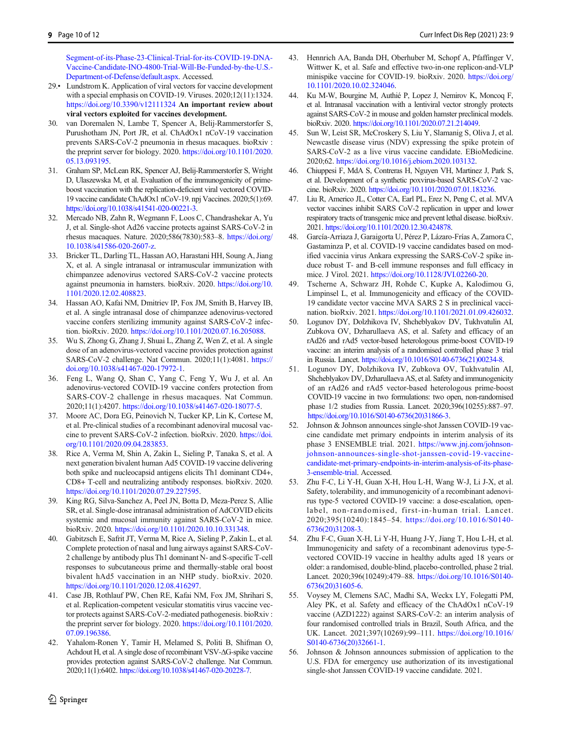<span id="page-9-0"></span>[Segment-of-its-Phase-23-Clinical-Trial-for-its-COVID-19-DNA-](http://ir.inovio.com/news-releases/news-releases-details/2020/INOVIO-Announces-Initiation-of-Phase-2-Segment-of-its-Phase-23-Clinical-Trial-for-its-COVID-19-DNA-Vaccine-Candidate-INO-4800-Trial-Will-Be-Funded-by-the-U.S.-Department-of-Defense/default.aspx)[Vaccine-Candidate-INO-4800-Trial-Will-Be-Funded-by-the-U.S.-](http://ir.inovio.com/news-releases/news-releases-details/2020/INOVIO-Announces-Initiation-of-Phase-2-Segment-of-its-Phase-23-Clinical-Trial-for-its-COVID-19-DNA-Vaccine-Candidate-INO-4800-Trial-Will-Be-Funded-by-the-U.S.-Department-of-Defense/default.aspx) [Department-of-Defense/default.aspx](http://ir.inovio.com/news-releases/news-releases-details/2020/INOVIO-Announces-Initiation-of-Phase-2-Segment-of-its-Phase-23-Clinical-Trial-for-its-COVID-19-DNA-Vaccine-Candidate-INO-4800-Trial-Will-Be-Funded-by-the-U.S.-Department-of-Defense/default.aspx). Accessed.

- 29.• Lundstrom K. Application of viral vectors for vaccine development with a special emphasis on COVID-19. Viruses. 2020;12(11):1324. <https://doi.org/10.3390/v12111324> An important review about viral vectors exploited for vaccines development.
- van Doremalen N, Lambe T, Spencer A, Belij-Rammerstorfer S, Purushotham JN, Port JR, et al. ChAdOx1 nCoV-19 vaccination prevents SARS-CoV-2 pneumonia in rhesus macaques. bioRxiv : the preprint server for biology. 2020. [https://doi.org/10.1101/2020.](https://doi.org/10.1101/2020.05.13.093195) [05.13.093195](https://doi.org/10.1101/2020.05.13.093195).
- 31. Graham SP, McLean RK, Spencer AJ, Belij-Rammerstorfer S, Wright D, Ulaszewska M, et al. Evaluation of the immunogenicity of primeboost vaccination with the replication-deficient viral vectored COVID-19 vaccine candidate ChAdOx1 nCoV-19. npj Vaccines. 2020;5(1):69. [https://doi.org/10.1038/s41541-020-00221-3.](https://doi.org/10.1038/s41541-020-00221-3)
- 32. Mercado NB, Zahn R, Wegmann F, Loos C, Chandrashekar A, Yu J, et al. Single-shot Ad26 vaccine protects against SARS-CoV-2 in rhesus macaques. Nature. 2020;586(7830):583–8. [https://doi.org/](https://doi.org/10.1038/s41586-020-2607-z) [10.1038/s41586-020-2607-z](https://doi.org/10.1038/s41586-020-2607-z).
- 33. Bricker TL, Darling TL, Hassan AO, Harastani HH, Soung A, Jiang X, et al. A single intranasal or intramuscular immunization with chimpanzee adenovirus vectored SARS-CoV-2 vaccine protects against pneumonia in hamsters. bioRxiv. 2020. [https://doi.org/10.](https://doi.org/10.1101/2020.12.02.408823) [1101/2020.12.02.408823.](https://doi.org/10.1101/2020.12.02.408823)
- 34. Hassan AO, Kafai NM, Dmitriev IP, Fox JM, Smith B, Harvey IB, et al. A single intranasal dose of chimpanzee adenovirus-vectored vaccine confers sterilizing immunity against SARS-CoV-2 infection. bioRxiv. 2020. [https://doi.org/10.1101/2020.07.16.205088.](https://doi.org/10.1101/2020.07.16.205088)
- 35. Wu S, Zhong G, Zhang J, Shuai L, Zhang Z, Wen Z, et al. A single dose of an adenovirus-vectored vaccine provides protection against SARS-CoV-2 challenge. Nat Commun. 2020;11(1):4081. [https://](https://doi.org/10.1038/s41467-020-17972-1) [doi.org/10.1038/s41467-020-17972-1.](https://doi.org/10.1038/s41467-020-17972-1)
- 36. Feng L, Wang Q, Shan C, Yang C, Feng Y, Wu J, et al. An adenovirus-vectored COVID-19 vaccine confers protection from SARS-COV-2 challenge in rhesus macaques. Nat Commun. 2020;11(1):4207. [https://doi.org/10.1038/s41467-020-18077-5.](https://doi.org/10.1038/s41467-020-18077-5)
- 37. Moore AC, Dora EG, Peinovich N, Tucker KP, Lin K, Cortese M, et al. Pre-clinical studies of a recombinant adenoviral mucosal vaccine to prevent SARS-CoV-2 infection. bioRxiv. 2020. [https://doi.](https://doi.org/10.1101/2020.09.04.283853) [org/10.1101/2020.09.04.283853](https://doi.org/10.1101/2020.09.04.283853).
- 38. Rice A, Verma M, Shin A, Zakin L, Sieling P, Tanaka S, et al. A next generation bivalent human Ad5 COVID-19 vaccine delivering both spike and nucleocapsid antigens elicits Th1 dominant CD4+, CD8+ T-cell and neutralizing antibody responses. bioRxiv. 2020. <https://doi.org/10.1101/2020.07.29.227595>.
- 39. King RG, Silva-Sanchez A, Peel JN, Botta D, Meza-Perez S, Allie SR, et al. Single-dose intranasal administration of AdCOVID elicits systemic and mucosal immunity against SARS-CoV-2 in mice. bioRxiv. 2020. [https://doi.org/10.1101/2020.10.10.331348.](https://doi.org/10.1101/2020.10.10.331348)
- 40. Gabitzsch E, Safrit JT, Verma M, Rice A, Sieling P, Zakin L, et al. Complete protection of nasal and lung airways against SARS-CoV-2 challenge by antibody plus Th1 dominant N- and S-specific T-cell responses to subcutaneous prime and thermally-stable oral boost bivalent hAd5 vaccination in an NHP study. bioRxiv. 2020. <https://doi.org/10.1101/2020.12.08.416297>.
- 41. Case JB, Rothlauf PW, Chen RE, Kafai NM, Fox JM, Shrihari S, et al. Replication-competent vesicular stomatitis virus vaccine vector protects against SARS-CoV-2-mediated pathogenesis. bioRxiv : the preprint server for biology. 2020. [https://doi.org/10.1101/2020.](https://doi.org/10.1101/2020.07.09.196386) [07.09.196386](https://doi.org/10.1101/2020.07.09.196386).
- 42. Yahalom-Ronen Y, Tamir H, Melamed S, Politi B, Shifman O, Achdout H, et al. A single dose of recombinant VSV-ΔG-spike vaccine provides protection against SARS-CoV-2 challenge. Nat Commun. 2020;11(1):6402. [https://doi.org/10.1038/s41467-020-20228-7.](https://doi.org/10.1038/s41467-020-20228-7)
- 43. Hennrich AA, Banda DH, Oberhuber M, Schopf A, Pfaffinger V, Wittwer K, et al. Safe and effective two-in-one replicon-and-VLP minispike vaccine for COVID-19. bioRxiv. 2020. [https://doi.org/](https://doi.org/10.1101/2020.10.02.324046) [10.1101/2020.10.02.324046](https://doi.org/10.1101/2020.10.02.324046).
- 44. Ku M-W, Bourgine M, Authié P, Lopez J, Nemirov K, Moncoq F, et al. Intranasal vaccination with a lentiviral vector strongly protects against SARS-CoV-2 in mouse and golden hamster preclinical models. bioRxiv. 2020. [https://doi.org/10.1101/2020.07.21.214049.](https://doi.org/10.1101/2020.07.21.214049)
- 45. Sun W, Leist SR, McCroskery S, Liu Y, Slamanig S, Oliva J, et al. Newcastle disease virus (NDV) expressing the spike protein of SARS-CoV-2 as a live virus vaccine candidate. EBioMedicine. 2020;62. [https://doi.org/10.1016/j.ebiom.2020.103132.](https://doi.org/10.1016/j.ebiom.2020.103132)
- 46. Chiuppesi F, MdA S, Contreras H, Nguyen VH, Martinez J, Park S, et al. Development of a synthetic poxvirus-based SARS-CoV-2 vaccine. bioRxiv. 2020. [https://doi.org/10.1101/2020.07.01.183236.](https://doi.org/10.1101/2020.07.01.183236)
- 47. Liu R, Americo JL, Cotter CA, Earl PL, Erez N, Peng C, et al. MVA vector vaccines inhibit SARS CoV-2 replication in upper and lower respiratory tracts of transgenic mice and prevent lethal disease. bioRxiv. 2021. [https://doi.org/10.1101/2020.12.30.424878.](https://doi.org/10.1101/2020.12.30.424878)
- 48. García-Arriaza J, Garaigorta U, Pérez P, Lázaro-Frías A, Zamora C, Gastaminza P, et al. COVID-19 vaccine candidates based on modified vaccinia virus Ankara expressing the SARS-CoV-2 spike induce robust T- and B-cell immune responses and full efficacy in mice. J Virol. 2021. [https://doi.org/10.1128/JVI.02260-20.](https://doi.org/10.1128/JVI.02260-20)
- 49. Tscherne A, Schwarz JH, Rohde C, Kupke A, Kalodimou G, Limpinsel L, et al. Immunogenicity and efficacy of the COVID-19 candidate vector vaccine MVA SARS 2 S in preclinical vaccination. bioRxiv. 2021. <https://doi.org/10.1101/2021.01.09.426032>.
- 50. Logunov DY, Dolzhikova IV, Shcheblyakov DV, Tukhvatulin AI, Zubkova OV, Dzharullaeva AS, et al. Safety and efficacy of an rAd26 and rAd5 vector-based heterologous prime-boost COVID-19 vaccine: an interim analysis of a randomised controlled phase 3 trial in Russia. Lancet. [https://doi.org/10.1016/S0140-6736\(21\)00234-8.](https://doi.org/10.1016/S0140-6736(21)00234-8)
- 51. Logunov DY, Dolzhikova IV, Zubkova OV, Tukhvatulin AI, Shcheblyakov DV, Dzharullaeva AS, et al. Safety and immunogenicity of an rAd26 and rAd5 vector-based heterologous prime-boost COVID-19 vaccine in two formulations: two open, non-randomised phase 1/2 studies from Russia. Lancet. 2020;396(10255):887–97. [https://doi.org/10.1016/S0140-6736\(20\)31866-3.](https://doi.org/10.1016/S0140-6736(20)31866-3)
- 52. Johnson & Johnson announces single-shot Janssen COVID-19 vaccine candidate met primary endpoints in interim analysis of its phase 3 ENSEMBLE trial. 2021. [https://www.jnj.com/johnson](https://www.jnj.com/johnson-johnson-announces-single-shot-janssen-covid-19-vaccine-candidate-met-primary-endpoints-in-interim-analysis-of-its-phase-3-ensemble-trial)[johnson-announces-single-shot-janssen-covid-19-vaccine](https://www.jnj.com/johnson-johnson-announces-single-shot-janssen-covid-19-vaccine-candidate-met-primary-endpoints-in-interim-analysis-of-its-phase-3-ensemble-trial)[candidate-met-primary-endpoints-in-interim-analysis-of-its-phase-](https://www.jnj.com/johnson-johnson-announces-single-shot-janssen-covid-19-vaccine-candidate-met-primary-endpoints-in-interim-analysis-of-its-phase-3-ensemble-trial)[3-ensemble-trial](https://www.jnj.com/johnson-johnson-announces-single-shot-janssen-covid-19-vaccine-candidate-met-primary-endpoints-in-interim-analysis-of-its-phase-3-ensemble-trial). Accessed.
- 53. Zhu F-C, Li Y-H, Guan X-H, Hou L-H, Wang W-J, Li J-X, et al. Safety, tolerability, and immunogenicity of a recombinant adenovirus type-5 vectored COVID-19 vaccine: a dose-escalation, openlabel, non-randomised, first-in-human trial. Lancet. 2020;395(10240):1845–54. [https://doi.org/10.1016/S0140-](https://doi.org/10.1016/S0140-6736(20)31208-3) [6736\(20\)31208-3.](https://doi.org/10.1016/S0140-6736(20)31208-3)
- 54. Zhu F-C, Guan X-H, Li Y-H, Huang J-Y, Jiang T, Hou L-H, et al. Immunogenicity and safety of a recombinant adenovirus type-5 vectored COVID-19 vaccine in healthy adults aged 18 years or older: a randomised, double-blind, placebo-controlled, phase 2 trial. Lancet. 2020;396(10249):479–88. [https://doi.org/10.1016/S0140-](https://doi.org/10.1016/S0140-6736(20)31605-6) [6736\(20\)31605-6.](https://doi.org/10.1016/S0140-6736(20)31605-6)
- 55. Voysey M, Clemens SAC, Madhi SA, Weckx LY, Folegatti PM, Aley PK, et al. Safety and efficacy of the ChAdOx1 nCoV-19 vaccine (AZD1222) against SARS-CoV-2: an interim analysis of four randomised controlled trials in Brazil, South Africa, and the UK. Lancet. 2021;397(10269):99–111. [https://doi.org/10.1016/](https://doi.org/10.1016/S0140-6736(20)32661-1) [S0140-6736\(20\)32661-1](https://doi.org/10.1016/S0140-6736(20)32661-1).
- 56. Johnson & Johnson announces submission of application to the U.S. FDA for emergency use authorization of its investigational single-shot Janssen COVID-19 vaccine candidate. 2021.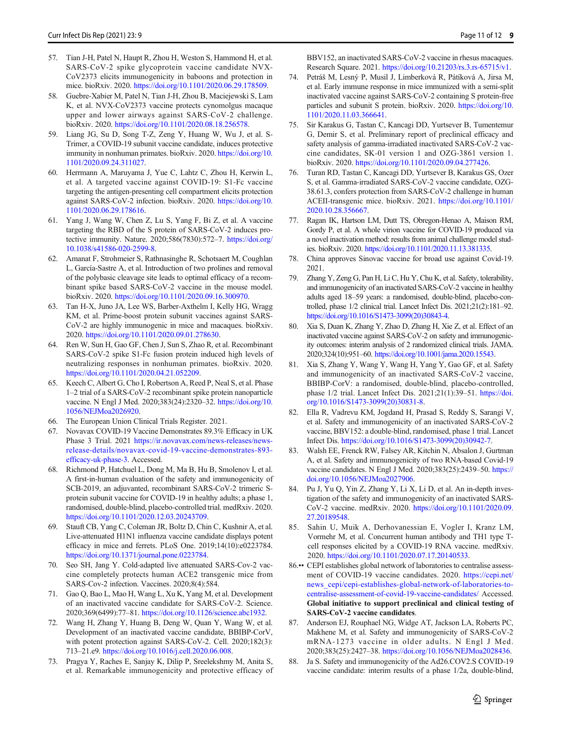- <span id="page-10-0"></span>57. Tian J-H, Patel N, Haupt R, Zhou H, Weston S, Hammond H, et al. SARS-CoV-2 spike glycoprotein vaccine candidate NVX-CoV2373 elicits immunogenicity in baboons and protection in mice. bioRxiv. 2020. [https://doi.org/10.1101/2020.06.29.178509.](https://doi.org/10.1101/2020.06.29.178509)
- 58. Guebre-Xabier M, Patel N, Tian J-H, Zhou B, Maciejewski S, Lam K, et al. NVX-CoV2373 vaccine protects cynomolgus macaque upper and lower airways against SARS-CoV-2 challenge. bioRxiv. 2020. [https://doi.org/10.1101/2020.08.18.256578.](https://doi.org/10.1101/2020.08.18.256578)
- 59. Liang JG, Su D, Song T-Z, Zeng Y, Huang W, Wu J, et al. S-Trimer, a COVID-19 subunit vaccine candidate, induces protective immunity in nonhuman primates. bioRxiv. 2020. [https://doi.org/10.](https://doi.org/10.1101/2020.09.24.311027) [1101/2020.09.24.311027.](https://doi.org/10.1101/2020.09.24.311027)
- 60. Herrmann A, Maruyama J, Yue C, Lahtz C, Zhou H, Kerwin L, et al. A targeted vaccine against COVID-19: S1-Fc vaccine targeting the antigen-presenting cell compartment elicits protection against SARS-CoV-2 infection. bioRxiv. 2020. [https://doi.org/10.](https://doi.org/10.1101/2020.06.29.178616) [1101/2020.06.29.178616.](https://doi.org/10.1101/2020.06.29.178616)
- 61. Yang J, Wang W, Chen Z, Lu S, Yang F, Bi Z, et al. A vaccine targeting the RBD of the S protein of SARS-CoV-2 induces protective immunity. Nature. 2020;586(7830):572–7. [https://doi.org/](https://doi.org/10.1038/s41586-020-2599-8) [10.1038/s41586-020-2599-8.](https://doi.org/10.1038/s41586-020-2599-8)
- 62. Amanat F, Strohmeier S, Rathnasinghe R, Schotsaert M, Coughlan L, García-Sastre A, et al. Introduction of two prolines and removal of the polybasic cleavage site leads to optimal efficacy of a recombinant spike based SARS-CoV-2 vaccine in the mouse model. bioRxiv. 2020. [https://doi.org/10.1101/2020.09.16.300970.](https://doi.org/10.1101/2020.09.16.300970)
- 63. Tan H-X, Juno JA, Lee WS, Barber-Axthelm I, Kelly HG, Wragg KM, et al. Prime-boost protein subunit vaccines against SARS-CoV-2 are highly immunogenic in mice and macaques. bioRxiv. 2020. [https://doi.org/10.1101/2020.09.01.278630.](https://doi.org/10.1101/2020.09.01.278630)
- 64. Ren W, Sun H, Gao GF, Chen J, Sun S, Zhao R, et al. Recombinant SARS-CoV-2 spike S1-Fc fusion protein induced high levels of neutralizing responses in nonhuman primates. bioRxiv. 2020. <https://doi.org/10.1101/2020.04.21.052209>.
- 65. Keech C, Albert G, Cho I, Robertson A, Reed P, Neal S, et al. Phase 1–2 trial of a SARS-CoV-2 recombinant spike protein nanoparticle vaccine. N Engl J Med. 2020;383(24):2320–32. [https://doi.org/10.](https://doi.org/10.1056/NEJMoa2026920) [1056/NEJMoa2026920](https://doi.org/10.1056/NEJMoa2026920).
- 66. The European Union Clinical Trials Register. 2021.
- 67. Novavax COVID-19 Vaccine Demonstrates 89.3% Efficacy in UK Phase 3 Trial. 2021 [https://ir.novavax.com/news-releases/news](https://ir.novavax.com/news-releases/news-release-details/novavax-covid-19-vaccine-demonstrates-893-efficacy-uk-phase-3)[release-details/novavax-covid-19-vaccine-demonstrates-893](https://ir.novavax.com/news-releases/news-release-details/novavax-covid-19-vaccine-demonstrates-893-efficacy-uk-phase-3) [efficacy-uk-phase-3](https://ir.novavax.com/news-releases/news-release-details/novavax-covid-19-vaccine-demonstrates-893-efficacy-uk-phase-3). Accessed.
- 68. Richmond P, Hatchuel L, Dong M, Ma B, Hu B, Smolenov I, et al. A first-in-human evaluation of the safety and immunogenicity of SCB-2019, an adjuvanted, recombinant SARS-CoV-2 trimeric Sprotein subunit vaccine for COVID-19 in healthy adults; a phase 1, randomised, double-blind, placebo-controlled trial. medRxiv. 2020. <https://doi.org/10.1101/2020.12.03.20243709>.
- 69. Stauft CB, Yang C, Coleman JR, Boltz D, Chin C, Kushnir A, et al. Live-attenuated H1N1 influenza vaccine candidate displays potent efficacy in mice and ferrets. PLoS One. 2019;14(10):e0223784. <https://doi.org/10.1371/journal.pone.0223784>.
- 70. Seo SH, Jang Y. Cold-adapted live attenuated SARS-Cov-2 vaccine completely protects human ACE2 transgenic mice from SARS-Cov-2 infection. Vaccines. 2020;8(4):584.
- 71. Gao Q, Bao L, Mao H, Wang L, Xu K, Yang M, et al. Development of an inactivated vaccine candidate for SARS-CoV-2. Science. 2020;369(6499):77–81. <https://doi.org/10.1126/science.abc1932>.
- 72. Wang H, Zhang Y, Huang B, Deng W, Quan Y, Wang W, et al. Development of an inactivated vaccine candidate, BBIBP-CorV, with potent protection against SARS-CoV-2. Cell. 2020;182(3): 713–21.e9. <https://doi.org/10.1016/j.cell.2020.06.008>.
- 73. Pragya Y, Raches E, Sanjay K, Dilip P, Sreelekshmy M, Anita S, et al. Remarkable immunogenicity and protective efficacy of

BBV152, an inactivated SARS-CoV-2 vaccine in rhesus macaques. Research Square. 2021. [https://doi.org/10.21203/rs.3.rs-65715/v1.](https://doi.org/10.21203/rs.3.rs-65715/v1)

- 74. Petráš M, Lesný P, Musil J, Limberková R, Pátíková A, Jirsa M, et al. Early immune response in mice immunized with a semi-split inactivated vaccine against SARS-CoV-2 containing S protein-free particles and subunit S protein. bioRxiv. 2020. [https://doi.org/10.](https://doi.org/10.1101/2020.11.03.366641) [1101/2020.11.03.366641.](https://doi.org/10.1101/2020.11.03.366641)
- 75. Sir Karakus G, Tastan C, Kancagi DD, Yurtsever B, Tumentemur G, Demir S, et al. Preliminary report of preclinical efficacy and safety analysis of gamma-irradiated inactivated SARS-CoV-2 vaccine candidates, SK-01 version 1 and OZG-3861 version 1. bioRxiv. 2020. [https://doi.org/10.1101/2020.09.04.277426.](https://doi.org/10.1101/2020.09.04.277426)
- 76. Turan RD, Tastan C, Kancagi DD, Yurtsever B, Karakus GS, Ozer S, et al. Gamma-irradiated SARS-CoV-2 vaccine candidate, OZG-38.61.3, confers protection from SARS-CoV-2 challenge in human ACEII-transgenic mice. bioRxiv. 2021. [https://doi.org/10.1101/](https://doi.org/10.1101/2020.10.28.356667) [2020.10.28.356667](https://doi.org/10.1101/2020.10.28.356667).
- 77. Ragan IK, Hartson LM, Dutt TS, Obregon-Henao A, Maison RM, Gordy P, et al. A whole virion vaccine for COVID-19 produced via a novel inactivation method: results from animal challenge model studies. bioRxiv. 2020. [https://doi.org/10.1101/2020.11.13.381335.](https://doi.org/10.1101/2020.11.13.381335)
- 78. China approves Sinovac vaccine for broad use against Covid-19. 2021.
- 79. Zhang Y, Zeng G, Pan H, Li C, Hu Y, Chu K, et al. Safety, tolerability, and immunogenicity of an inactivated SARS-CoV-2 vaccine in healthy adults aged 18–59 years: a randomised, double-blind, placebo-controlled, phase 1/2 clinical trial. Lancet Infect Dis. 2021;21(2):181–92. [https://doi.org/10.1016/S1473-3099\(20\)30843-4.](https://doi.org/10.1016/S1473-3099(20)30843-4)
- 80. Xia S, Duan K, Zhang Y, Zhao D, Zhang H, Xie Z, et al. Effect of an inactivated vaccine against SARS-CoV-2 on safety and immunogenicity outcomes: interim analysis of 2 randomized clinical trials. JAMA. 2020;324(10):951–60. [https://doi.org/10.1001/jama.2020.15543.](https://doi.org/10.1001/jama.2020.15543)
- 81. Xia S, Zhang Y, Wang Y, Wang H, Yang Y, Gao GF, et al. Safety and immunogenicity of an inactivated SARS-CoV-2 vaccine, BBIBP-CorV: a randomised, double-blind, placebo-controlled, phase 1/2 trial. Lancet Infect Dis. 2021;21(1):39–51. [https://doi.](https://doi.org/10.1016/S1473-3099(20)30831-8) [org/10.1016/S1473-3099\(20\)30831-8.](https://doi.org/10.1016/S1473-3099(20)30831-8)
- 82. Ella R, Vadrevu KM, Jogdand H, Prasad S, Reddy S, Sarangi V, et al. Safety and immunogenicity of an inactivated SARS-CoV-2 vaccine, BBV152: a double-blind, randomised, phase 1 trial. Lancet Infect Dis. [https://doi.org/10.1016/S1473-3099\(20\)30942-7](https://doi.org/10.1016/S1473-3099(20)30942-7).
- 83. Walsh EE, Frenck RW, Falsey AR, Kitchin N, Absalon J, Gurtman A, et al. Safety and immunogenicity of two RNA-based Covid-19 vaccine candidates. N Engl J Med. 2020;383(25):2439–50. [https://](https://doi.org/10.1056/NEJMoa2027906) [doi.org/10.1056/NEJMoa2027906](https://doi.org/10.1056/NEJMoa2027906).
- 84. Pu J, Yu Q, Yin Z, Zhang Y, Li X, Li D, et al. An in-depth investigation of the safety and immunogenicity of an inactivated SARS-CoV-2 vaccine. medRxiv. 2020. [https://doi.org/10.1101/2020.09.](https://doi.org/10.1101/2020.09.27.20189548) [27.20189548.](https://doi.org/10.1101/2020.09.27.20189548)
- 85. Sahin U, Muik A, Derhovanessian E, Vogler I, Kranz LM, Vormehr M, et al. Concurrent human antibody and TH1 type Tcell responses elicited by a COVID-19 RNA vaccine. medRxiv. 2020. <https://doi.org/10.1101/2020.07.17.20140533>.
- 86.•• CEPI establishes global network of laboratories to centralise assessment of COVID-19 vaccine candidates. 2020. [https://cepi.net/](https://cepi.net/news_cepi/cepi-establishes-global-network-of-laboratories-to-centralise-assessment-of-covid-19-vaccine-candidates/) [news\\_cepi/cepi-establishes-global-network-of-laboratories-to](https://cepi.net/news_cepi/cepi-establishes-global-network-of-laboratories-to-centralise-assessment-of-covid-19-vaccine-candidates/)[centralise-assessment-of-covid-19-vaccine-candidates/](https://cepi.net/news_cepi/cepi-establishes-global-network-of-laboratories-to-centralise-assessment-of-covid-19-vaccine-candidates/) Accessed. Global initiative to support preclinical and clinical testing of SARS-CoV-2 vaccine candidates.
- 87. Anderson EJ, Rouphael NG, Widge AT, Jackson LA, Roberts PC, Makhene M, et al. Safety and immunogenicity of SARS-CoV-2 mRNA-1273 vaccine in older adults. N Engl J Med. 2020;383(25):2427–38. [https://doi.org/10.1056/NEJMoa2028436.](https://doi.org/10.1056/NEJMoa2028436)
- 88. Ja S. Safety and immunogenicity of the Ad26.COV2.S COVID-19 vaccine candidate: interim results of a phase 1/2a, double-blind,